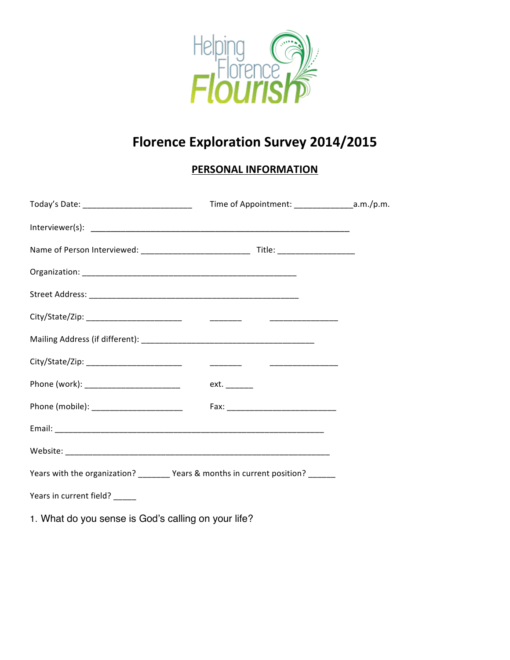

## **Florence Exploration Survey 2014/2015**

## **PERSONAL INFORMATION**

| Today's Date: ________________________________                                  |      |  |
|---------------------------------------------------------------------------------|------|--|
|                                                                                 |      |  |
|                                                                                 |      |  |
|                                                                                 |      |  |
|                                                                                 |      |  |
|                                                                                 |      |  |
|                                                                                 |      |  |
|                                                                                 |      |  |
| Phone (work): ___________________________                                       | ext. |  |
| Phone (mobile): ________________________                                        |      |  |
|                                                                                 |      |  |
|                                                                                 |      |  |
| Years with the organization? _______ Years & months in current position? ______ |      |  |
| Years in current field? _____                                                   |      |  |

1. What do you sense is God's calling on your life?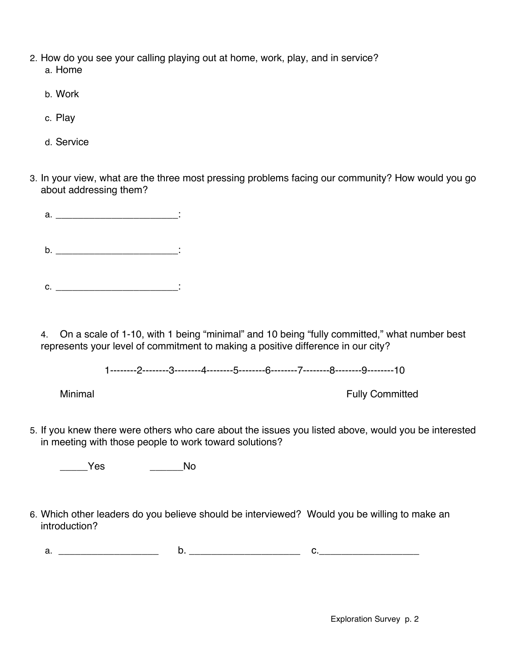- 2. How do you see your calling playing out at home, work, play, and in service? a. Home
	- b. Work
	- c. Play
	- d. Service
- 3. In your view, what are the three most pressing problems facing our community? How would you go about addressing them?
	- a. <u>\_\_\_\_\_\_\_\_\_\_\_\_\_\_\_\_\_\_\_\_\_\_\_\_\_\_\_\_\_</u>:  $b.$   $\qquad \qquad \vdots$
	- $c.$   $\vdots$

4. On a scale of 1-10, with 1 being "minimal" and 10 being "fully committed," what number best represents your level of commitment to making a positive difference in our city?

1--------2--------3--------4--------5--------6--------7--------8--------9--------10

Minimal **Fully Committed** 

5. If you knew there were others who care about the issues you listed above, would you be interested in meeting with those people to work toward solutions?

\_\_\_\_\_Yes \_\_\_\_\_\_No

6. Which other leaders do you believe should be interviewed? Would you be willing to make an introduction?

a. \_\_\_\_\_\_\_\_\_\_\_\_\_\_\_\_\_\_ b. \_\_\_\_\_\_\_\_\_\_\_\_\_\_\_\_\_\_\_\_ c.\_\_\_\_\_\_\_\_\_\_\_\_\_\_\_\_\_\_